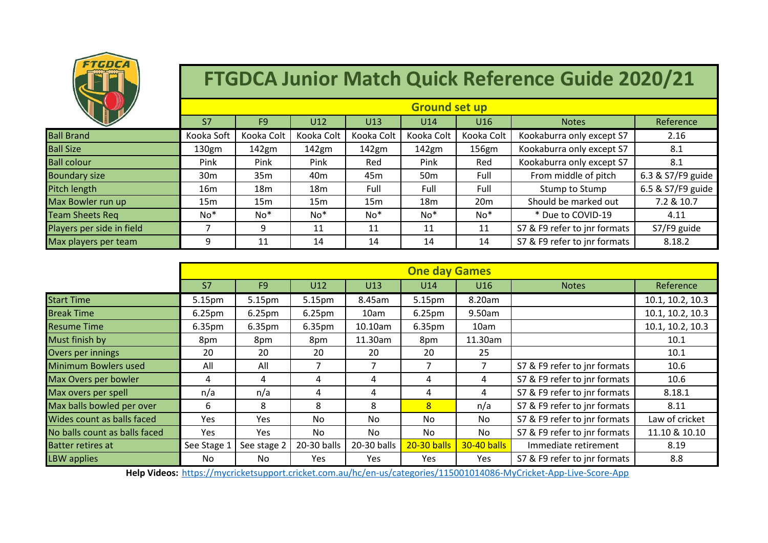

## **FTGDCA Junior Match Quick Reference Guide 2020/21**

|                           | <b>Ground set up</b> |                |            |                 |                 |                 |                              |                   |  |  |
|---------------------------|----------------------|----------------|------------|-----------------|-----------------|-----------------|------------------------------|-------------------|--|--|
|                           | S7                   | F <sub>9</sub> | U12        | U13             | U14             | U16             | <b>Notes</b>                 | Reference         |  |  |
| <b>Ball Brand</b>         | Kooka Soft           | Kooka Colt     | Kooka Colt | Kooka Colt      | Kooka Colt      | Kooka Colt      | Kookaburra only except S7    | 2.16              |  |  |
| <b>Ball Size</b>          | 130gm                | 142gm          | 142gm      | 142gm           | 142gm           | 156gm           | Kookaburra only except S7    | 8.1               |  |  |
| <b>Ball colour</b>        | Pink                 | Pink           | Pink       | Red             | Pink            | Red             | Kookaburra only except S7    | 8.1               |  |  |
| <b>Boundary size</b>      | 30 <sub>m</sub>      | 35m            | 40m        | 45 <sub>m</sub> | 50 <sub>m</sub> | Full            | From middle of pitch         | 6.3 & S7/F9 guide |  |  |
| Pitch length              | 16m                  | 18m            | 18m        | Full            | Full            | Full            | Stump to Stump               | 6.5 & S7/F9 guide |  |  |
| Max Bowler run up         | 15m                  | 15m            | 15m        | 15 <sub>m</sub> | 18 <sub>m</sub> | 20 <sub>m</sub> | Should be marked out         | 7.2 & 10.7        |  |  |
| <b>Team Sheets Req</b>    | $No*$                | $No*$          | $No*$      | $No*$           | $No*$           | No*             | * Due to COVID-19            | 4.11              |  |  |
| Players per side in field |                      | 9              | 11         | 11              | 11              | 11              | S7 & F9 refer to jnr formats | S7/F9 guide       |  |  |
| Max players per team      | 9                    | 11             | 14         | 14              | 14              | 14              | S7 & F9 refer to jnr formats | 8.18.2            |  |  |

|                               | <b>One day Games</b> |                    |                    |             |                    |             |                              |                  |
|-------------------------------|----------------------|--------------------|--------------------|-------------|--------------------|-------------|------------------------------|------------------|
|                               | S <sub>7</sub>       | F <sub>9</sub>     | U12                | U13         | U14                | U16         | <b>Notes</b>                 | Reference        |
| <b>Start Time</b>             | 5.15pm               | 5.15pm             | 5.15pm             | 8.45am      | 5.15pm             | 8.20am      |                              | 10.1, 10.2, 10.3 |
| <b>Break Time</b>             | 6.25 <sub>pm</sub>   | 6.25 <sub>pm</sub> | 6.25 <sub>pm</sub> | 10am        | 6.25 <sub>pm</sub> | 9.50am      |                              | 10.1, 10.2, 10.3 |
| <b>Resume Time</b>            | 6.35pm               | 6.35pm             | 6.35pm             | 10.10am     | 6.35pm             | 10am        |                              | 10.1, 10.2, 10.3 |
| Must finish by                | 8pm                  | 8pm                | 8pm                | 11.30am     | 8pm                | 11.30am     |                              | 10.1             |
| Overs per innings             | 20                   | 20                 | 20                 | 20          | 20                 | 25          |                              | 10.1             |
| Minimum Bowlers used          | All                  | All                | 7                  |             | $\overline{7}$     |             | S7 & F9 refer to jnr formats | 10.6             |
| Max Overs per bowler          | 4                    | 4                  | 4                  | 4           | 4                  | 4           | S7 & F9 refer to jnr formats | 10.6             |
| Max overs per spell           | n/a                  | n/a                | 4                  | 4           | 4                  | 4           | S7 & F9 refer to jnr formats | 8.18.1           |
| Max balls bowled per over     | 6                    | 8                  | 8                  | 8           | 8                  | n/a         | S7 & F9 refer to jnr formats | 8.11             |
| Wides count as balls faced    | Yes                  | Yes                | No.                | No.         | No                 | No.         | S7 & F9 refer to jnr formats | Law of cricket   |
| No balls count as balls faced | Yes                  | Yes                | No.                | No.         | No.                | No.         | S7 & F9 refer to jnr formats | 11.10 & 10.10    |
| <b>Batter retires at</b>      | See Stage 1          | See stage 2        | 20-30 balls        | 20-30 balls | 20-30 balls        | 30-40 balls | Immediate retirement         | 8.19             |
| <b>LBW</b> applies            | No.                  | No                 | Yes.               | Yes.        | Yes                | Yes.        | S7 & F9 refer to jnr formats | 8.8              |

**Help Videos:** <https://mycricketsupport.cricket.com.au/hc/en-us/categories/115001014086-MyCricket-App-Live-Score-App>